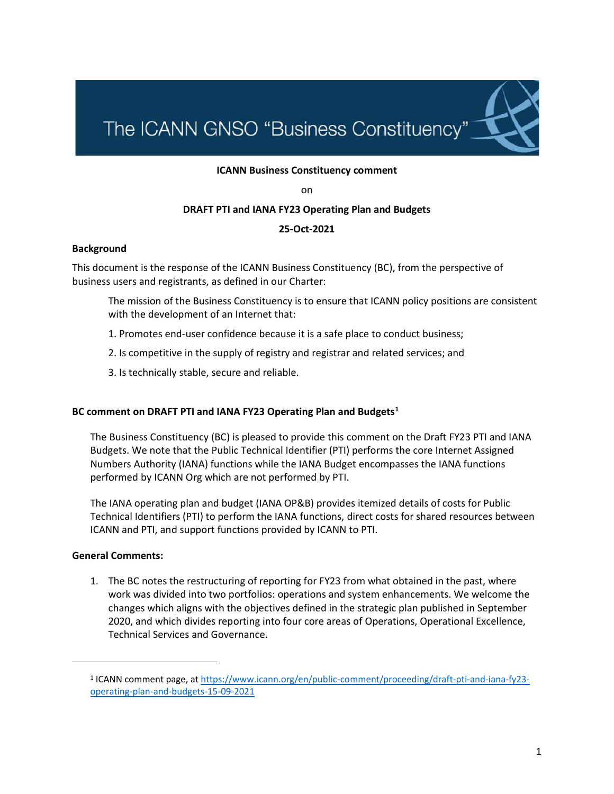# The ICANN GNSO "Business Constituency"

#### **ICANN Business Constituency comment**

on

#### **DRAFT PTI and IANA FY23 Operating Plan and Budgets**

### **25-Oct-2021**

#### **Background**

This document is the response of the ICANN Business Constituency (BC), from the perspective of business users and registrants, as defined in our Charter:

The mission of the Business Constituency is to ensure that ICANN policy positions are consistent with the development of an Internet that:

- 1. Promotes end-user confidence because it is a safe place to conduct business;
- 2. Is competitive in the supply of registry and registrar and related services; and
- 3. Is technically stable, secure and reliable.

#### **BC comment on DRAFT PTI and IANA FY23 Operating Plan and Budgets<sup>1</sup>**

The Business Constituency (BC) is pleased to provide this comment on the Draft FY23 PTI and IANA Budgets. We note that the Public Technical Identifier (PTI) performs the core Internet Assigned Numbers Authority (IANA) functions while the IANA Budget encompasses the IANA functions performed by ICANN Org which are not performed by PTI.

The IANA operating plan and budget (IANA OP&B) provides itemized details of costs for Public Technical Identifiers (PTI) to perform the IANA functions, direct costs for shared resources between ICANN and PTI, and support functions provided by ICANN to PTI.

#### **General Comments:**

1. The BC notes the restructuring of reporting for FY23 from what obtained in the past, where work was divided into two portfolios: operations and system enhancements. We welcome the changes which aligns with the objectives defined in the strategic plan published in September 2020, and which divides reporting into four core areas of Operations, Operational Excellence, Technical Services and Governance.

<sup>&</sup>lt;sup>1</sup> ICANN comment page, a[t https://www.icann.org/en/public-comment/proceeding/draft-pti-and-iana-fy23](https://www.icann.org/en/public-comment/proceeding/draft-pti-and-iana-fy23-operating-plan-and-budgets-15-09-2021) [operating-plan-and-budgets-15-09-2021](https://www.icann.org/en/public-comment/proceeding/draft-pti-and-iana-fy23-operating-plan-and-budgets-15-09-2021)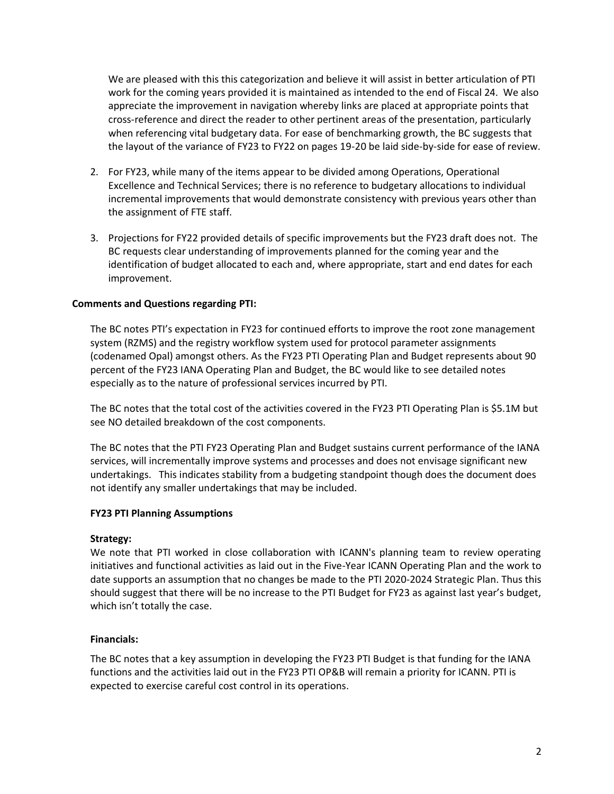We are pleased with this this categorization and believe it will assist in better articulation of PTI work for the coming years provided it is maintained as intended to the end of Fiscal 24. We also appreciate the improvement in navigation whereby links are placed at appropriate points that cross-reference and direct the reader to other pertinent areas of the presentation, particularly when referencing vital budgetary data. For ease of benchmarking growth, the BC suggests that the layout of the variance of FY23 to FY22 on pages 19-20 be laid side-by-side for ease of review.

- 2. For FY23, while many of the items appear to be divided among Operations, Operational Excellence and Technical Services; there is no reference to budgetary allocations to individual incremental improvements that would demonstrate consistency with previous years other than the assignment of FTE staff.
- 3. Projections for FY22 provided details of specific improvements but the FY23 draft does not. The BC requests clear understanding of improvements planned for the coming year and the identification of budget allocated to each and, where appropriate, start and end dates for each improvement.

## **Comments and Questions regarding PTI:**

The BC notes PTI's expectation in FY23 for continued efforts to improve the root zone management system (RZMS) and the registry workflow system used for protocol parameter assignments (codenamed Opal) amongst others. As the FY23 PTI Operating Plan and Budget represents about 90 percent of the FY23 IANA Operating Plan and Budget, the BC would like to see detailed notes especially as to the nature of professional services incurred by PTI.

The BC notes that the total cost of the activities covered in the FY23 PTI Operating Plan is \$5.1M but see NO detailed breakdown of the cost components.

The BC notes that the PTI FY23 Operating Plan and Budget sustains current performance of the IANA services, will incrementally improve systems and processes and does not envisage significant new undertakings. This indicates stability from a budgeting standpoint though does the document does not identify any smaller undertakings that may be included.

## **FY23 PTI Planning Assumptions**

## **Strategy:**

We note that PTI worked in close collaboration with ICANN's planning team to review operating initiatives and functional activities as laid out in the Five-Year ICANN Operating Plan and the work to date supports an assumption that no changes be made to the PTI 2020-2024 Strategic Plan. Thus this should suggest that there will be no increase to the PTI Budget for FY23 as against last year's budget, which isn't totally the case.

## **Financials:**

The BC notes that a key assumption in developing the FY23 PTI Budget is that funding for the IANA functions and the activities laid out in the FY23 PTI OP&B will remain a priority for ICANN. PTI is expected to exercise careful cost control in its operations.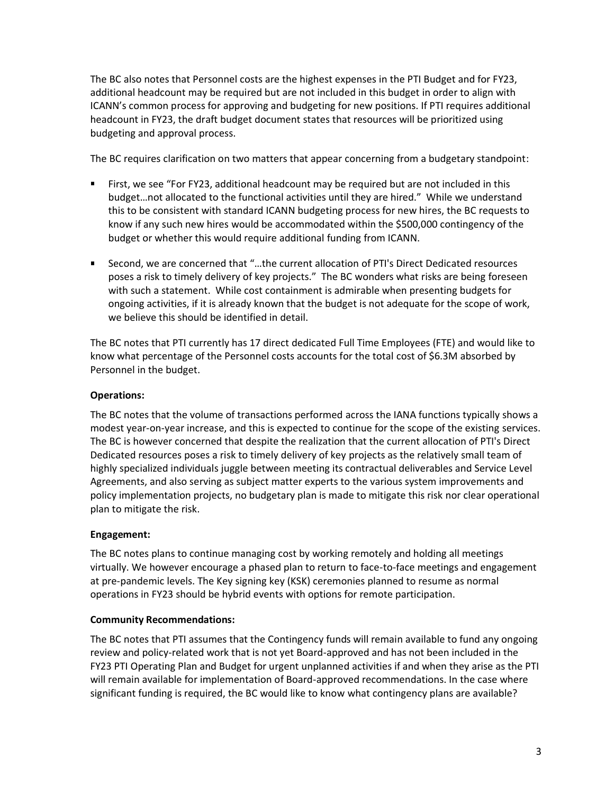The BC also notes that Personnel costs are the highest expenses in the PTI Budget and for FY23, additional headcount may be required but are not included in this budget in order to align with ICANN's common process for approving and budgeting for new positions. If PTI requires additional headcount in FY23, the draft budget document states that resources will be prioritized using budgeting and approval process.

The BC requires clarification on two matters that appear concerning from a budgetary standpoint:

- First, we see "For FY23, additional headcount may be required but are not included in this budget…not allocated to the functional activities until they are hired." While we understand this to be consistent with standard ICANN budgeting process for new hires, the BC requests to know if any such new hires would be accommodated within the \$500,000 contingency of the budget or whether this would require additional funding from ICANN.
- Second, we are concerned that "...the current allocation of PTI's Direct Dedicated resources poses a risk to timely delivery of key projects." The BC wonders what risks are being foreseen with such a statement. While cost containment is admirable when presenting budgets for ongoing activities, if it is already known that the budget is not adequate for the scope of work, we believe this should be identified in detail.

The BC notes that PTI currently has 17 direct dedicated Full Time Employees (FTE) and would like to know what percentage of the Personnel costs accounts for the total cost of \$6.3M absorbed by Personnel in the budget.

# **Operations:**

The BC notes that the volume of transactions performed across the IANA functions typically shows a modest year-on-year increase, and this is expected to continue for the scope of the existing services. The BC is however concerned that despite the realization that the current allocation of PTI's Direct Dedicated resources poses a risk to timely delivery of key projects as the relatively small team of highly specialized individuals juggle between meeting its contractual deliverables and Service Level Agreements, and also serving as subject matter experts to the various system improvements and policy implementation projects, no budgetary plan is made to mitigate this risk nor clear operational plan to mitigate the risk.

# **Engagement:**

The BC notes plans to continue managing cost by working remotely and holding all meetings virtually. We however encourage a phased plan to return to face-to-face meetings and engagement at pre-pandemic levels. The Key signing key (KSK) ceremonies planned to resume as normal operations in FY23 should be hybrid events with options for remote participation.

# **Community Recommendations:**

The BC notes that PTI assumes that the Contingency funds will remain available to fund any ongoing review and policy-related work that is not yet Board-approved and has not been included in the FY23 PTI Operating Plan and Budget for urgent unplanned activities if and when they arise as the PTI will remain available for implementation of Board-approved recommendations. In the case where significant funding is required, the BC would like to know what contingency plans are available?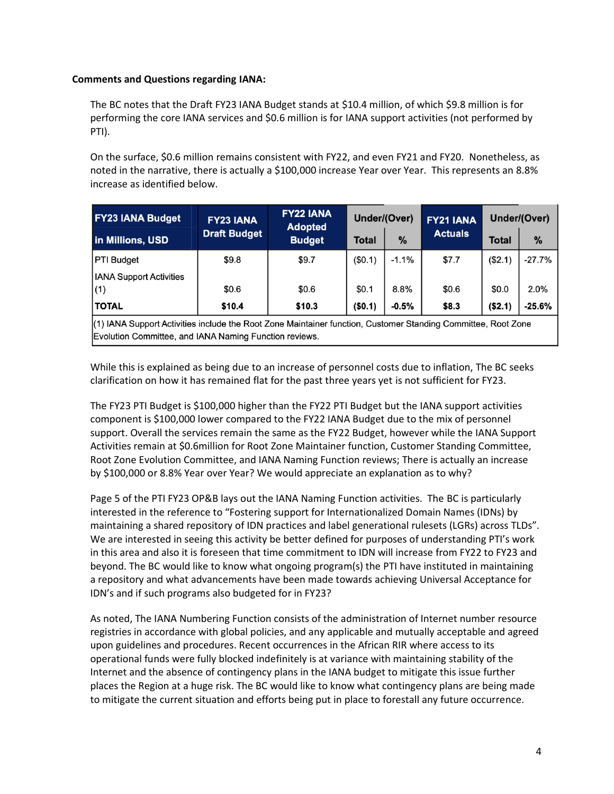## **Comments and Questions regarding IANA:**

The BC notes that the Draft FY23 IANA Budget stands at \$10.4 million, of which \$9.8 million is for performing the core IANA services and \$0.6 million is for IANA support activities (not performed by PTI).

On the surface, \$0.6 million remains consistent with FY22, and even FY21 and FY20. Nonetheless, as noted in the narrative, there is actually a \$100,000 increase Year over Year. This represents an 8.8% increase as identified below.

| <b>FY23 IANA Budget</b>                                                                                       | <b>FY23 IANA</b><br><b>Draft Budget</b> | <b>FY22 IANA</b><br><b>Adopted</b><br><b>Budget</b> | Under/(Over) |         | FY21 IANA      | Under/(Over) |               |
|---------------------------------------------------------------------------------------------------------------|-----------------------------------------|-----------------------------------------------------|--------------|---------|----------------|--------------|---------------|
| in Millions, USD                                                                                              |                                         |                                                     | <b>Total</b> | %       | <b>Actuals</b> | Total        | $\frac{9}{6}$ |
| <b>PTI Budget</b>                                                                                             | \$9.8                                   | \$9.7                                               | (\$0.1)      | $-1.1%$ | \$7.7          | (\$2.1)      | $-27.7%$      |
| <b>IANA Support Activities</b>                                                                                |                                         |                                                     |              |         |                |              |               |
| (1)                                                                                                           | \$0.6                                   | \$0.6                                               | \$0.1        | 8.8%    | \$0.6          | \$0.0        | 2.0%          |
| <b>TOTAL</b>                                                                                                  | \$10.4                                  | \$10.3                                              | (\$0.1)      | $-0.5%$ | \$8.3          | (\$2.1)      | $-25.6%$      |
| (1) IANA Support Activities include the Root Zone Maintainer function, Customer Standing Committee, Root Zone |                                         |                                                     |              |         |                |              |               |

Evolution Committee, and IANA Naming Function reviews.

While this is explained as being due to an increase of personnel costs due to inflation, The BC seeks clarification on how it has remained flat for the past three years yet is not sufficient for FY23.

The FY23 PTI Budget is \$100,000 higher than the FY22 PTI Budget but the IANA support activities component is \$100,000 lower compared to the FY22 IANA Budget due to the mix of personnel support. Overall the services remain the same as the FY22 Budget, however while the IANA Support Activities remain at \$0.6million for Root Zone Maintainer function, Customer Standing Committee, Root Zone Evolution Committee, and IANA Naming Function reviews; There is actually an increase by \$100,000 or 8.8% Year over Year? We would appreciate an explanation as to why?

Page 5 of the PTI FY23 OP&B lays out the IANA Naming Function activities. The BC is particularly interested in the reference to "Fostering support for Internationalized Domain Names (IDNs) by maintaining a shared repository of IDN practices and label generational rulesets (LGRs) across TLDs". We are interested in seeing this activity be better defined for purposes of understanding PTI's work in this area and also it is foreseen that time commitment to IDN will increase from FY22 to FY23 and beyond. The BC would like to know what ongoing program(s) the PTI have instituted in maintaining a repository and what advancements have been made towards achieving Universal Acceptance for IDN's and if such programs also budgeted for in FY23?

As noted, The IANA Numbering Function consists of the administration of Internet number resource registries in accordance with global policies, and any applicable and mutually acceptable and agreed upon guidelines and procedures. Recent occurrences in the African RIR where access to its operational funds were fully blocked indefinitely is at variance with maintaining stability of the Internet and the absence of contingency plans in the IANA budget to mitigate this issue further places the Region at a huge risk. The BC would like to know what contingency plans are being made to mitigate the current situation and efforts being put in place to forestall any future occurrence.